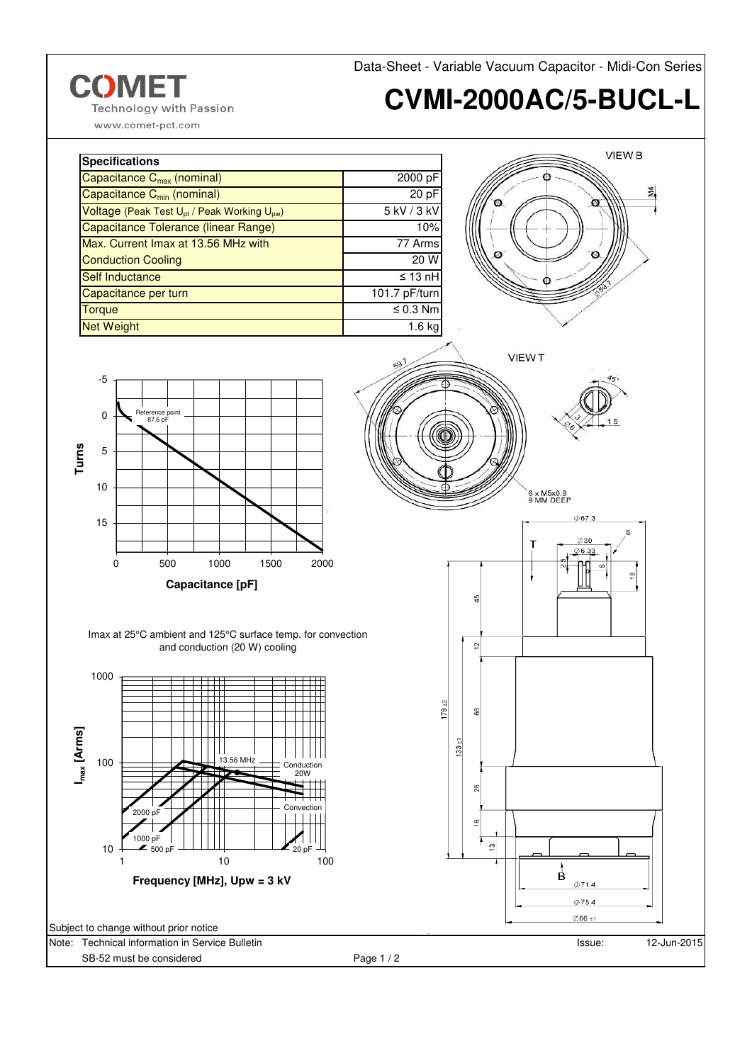

www.comet-pct.com

| <b>Specifications</b>                                               |                 |
|---------------------------------------------------------------------|-----------------|
| Capacitance C <sub>max</sub> (nominal)                              | 2000 pF         |
| Capacitance C <sub>min</sub> (nominal)                              | 20 pF           |
| Voltage (Peak Test U <sub>pt</sub> / Peak Working U <sub>pw</sub> ) | $5$ kV / $3$ kV |
| Capacitance Tolerance (linear Range)                                | 10%             |
| Max. Current Imax at 13.56 MHz with                                 | 77 Arms         |
| <b>Conduction Cooling</b>                                           | 20 W            |
| Self Inductance                                                     | $\leq 13$ nH    |
| Capacitance per turn                                                | 101.7 pF/turn   |
| <b>Torque</b>                                                       | $\leq 0.3$ Nm   |
| <b>Net Weight</b>                                                   | 1.6 kg          |



Data-Sheet - Variable Vacuum Capacitor - Midi-Con Series



Imax at 25°C ambient and 125°C surface temp. for convection and conduction (20 W) cooling